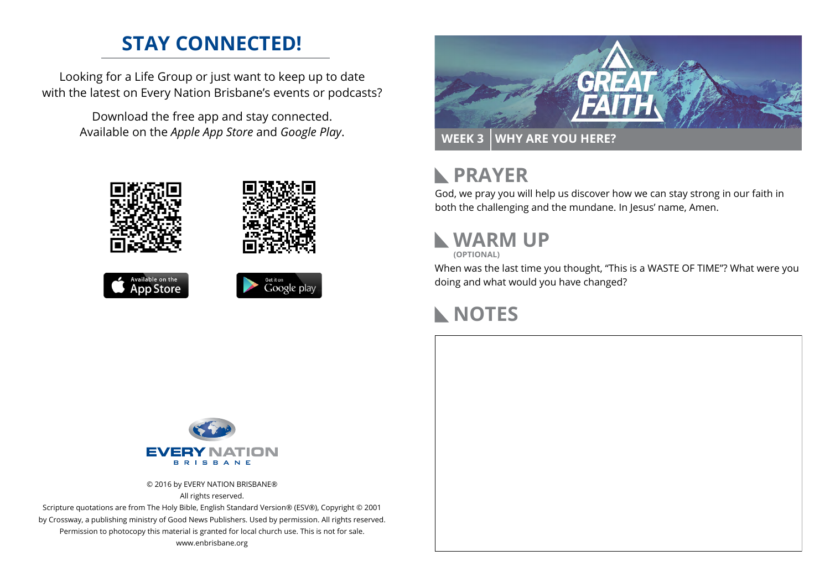#### **STAY CONNECTED!**

Looking for a Life Group or just want to keep up to date with the latest on Every Nation Brisbane's events or podcasts?

> Download the free app and stay connected. Available on the *Apple App Store* and *Google Play*.











#### **PRAYER**  $\mathbb{R}$

God, we pray you will help us discover how we can stay strong in our faith in both the challenging and the mundane. In Jesus' name, Amen.

# **WARM UP**

**(OPTIONAL)**

When was the last time you thought, "This is a WASTE OF TIME"? What were you doing and what would you have changed?

## **NOTES**



© 2016 by EVERY NATION BRISBANE® All rights reserved.

Scripture quotations are from The Holy Bible, English Standard Version® (ESV®), Copyright © 2001 by Crossway, a publishing ministry of Good News Publishers. Used by permission. All rights reserved. Permission to photocopy this material is granted for local church use. This is not for sale. www.enbrisbane.org